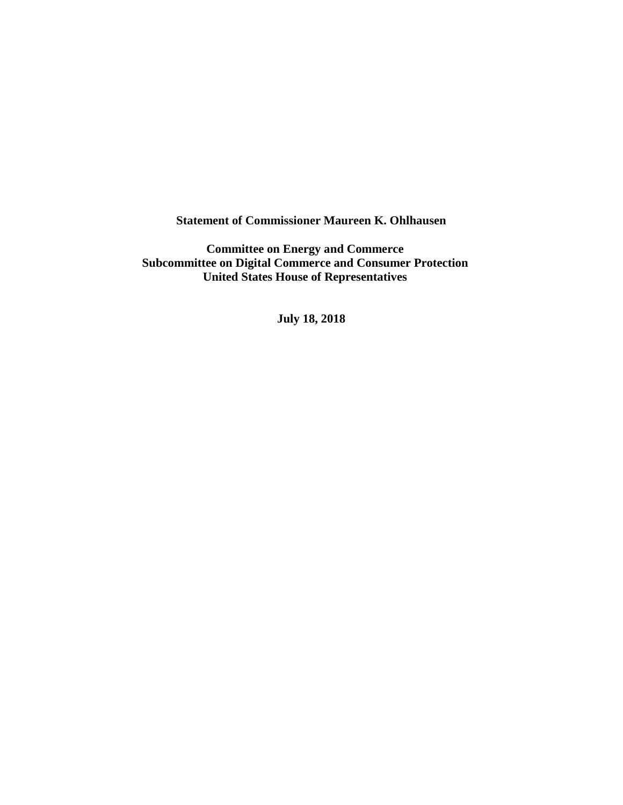**Statement of Commissioner Maureen K. Ohlhausen**

**Committee on Energy and Commerce Subcommittee on Digital Commerce and Consumer Protection United States House of Representatives**

**July 18, 2018**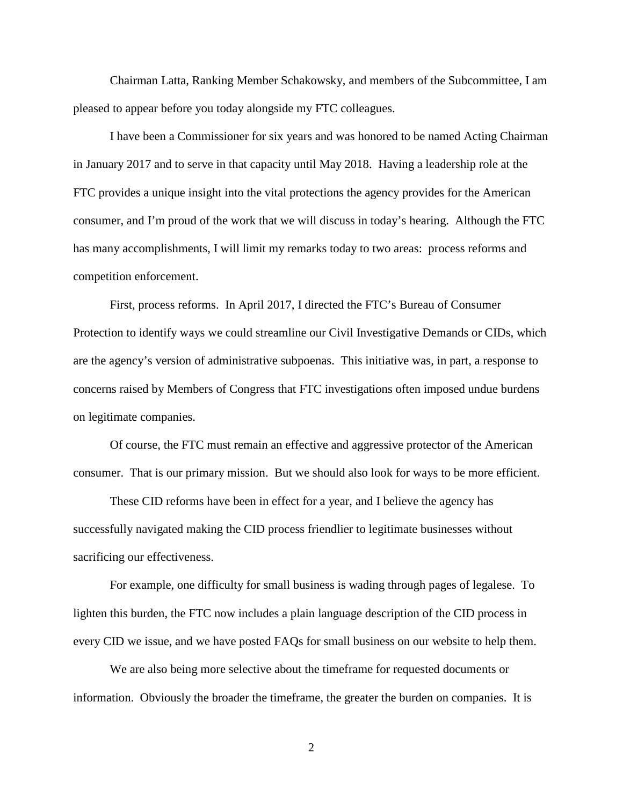Chairman Latta, Ranking Member Schakowsky, and members of the Subcommittee, I am pleased to appear before you today alongside my FTC colleagues.

I have been a Commissioner for six years and was honored to be named Acting Chairman in January 2017 and to serve in that capacity until May 2018. Having a leadership role at the FTC provides a unique insight into the vital protections the agency provides for the American consumer, and I'm proud of the work that we will discuss in today's hearing. Although the FTC has many accomplishments, I will limit my remarks today to two areas: process reforms and competition enforcement.

First, process reforms. In April 2017, I directed the FTC's Bureau of Consumer Protection to identify ways we could streamline our Civil Investigative Demands or CIDs, which are the agency's version of administrative subpoenas. This initiative was, in part, a response to concerns raised by Members of Congress that FTC investigations often imposed undue burdens on legitimate companies.

Of course, the FTC must remain an effective and aggressive protector of the American consumer. That is our primary mission. But we should also look for ways to be more efficient.

These CID reforms have been in effect for a year, and I believe the agency has successfully navigated making the CID process friendlier to legitimate businesses without sacrificing our effectiveness.

For example, one difficulty for small business is wading through pages of legalese. To lighten this burden, the FTC now includes a plain language description of the CID process in every CID we issue, and we have posted FAQs for small business on our website to help them.

We are also being more selective about the timeframe for requested documents or information. Obviously the broader the timeframe, the greater the burden on companies. It is

2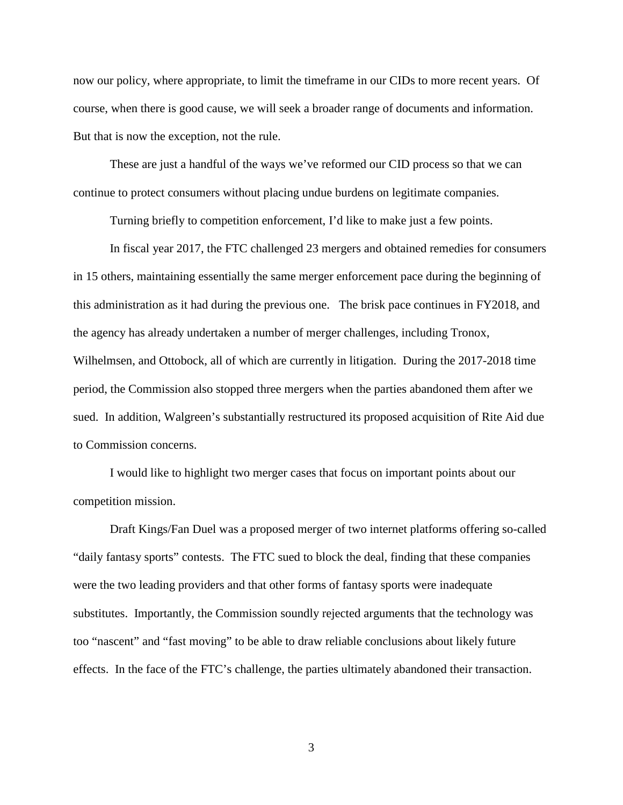now our policy, where appropriate, to limit the timeframe in our CIDs to more recent years. Of course, when there is good cause, we will seek a broader range of documents and information. But that is now the exception, not the rule.

These are just a handful of the ways we've reformed our CID process so that we can continue to protect consumers without placing undue burdens on legitimate companies.

Turning briefly to competition enforcement, I'd like to make just a few points.

In fiscal year 2017, the FTC challenged 23 mergers and obtained remedies for consumers in 15 others, maintaining essentially the same merger enforcement pace during the beginning of this administration as it had during the previous one. The brisk pace continues in FY2018, and the agency has already undertaken a number of merger challenges, including Tronox, Wilhelmsen, and Ottobock, all of which are currently in litigation. During the 2017-2018 time period, the Commission also stopped three mergers when the parties abandoned them after we sued. In addition, Walgreen's substantially restructured its proposed acquisition of Rite Aid due to Commission concerns.

I would like to highlight two merger cases that focus on important points about our competition mission.

Draft Kings/Fan Duel was a proposed merger of two internet platforms offering so-called "daily fantasy sports" contests. The FTC sued to block the deal, finding that these companies were the two leading providers and that other forms of fantasy sports were inadequate substitutes. Importantly, the Commission soundly rejected arguments that the technology was too "nascent" and "fast moving" to be able to draw reliable conclusions about likely future effects. In the face of the FTC's challenge, the parties ultimately abandoned their transaction.

3